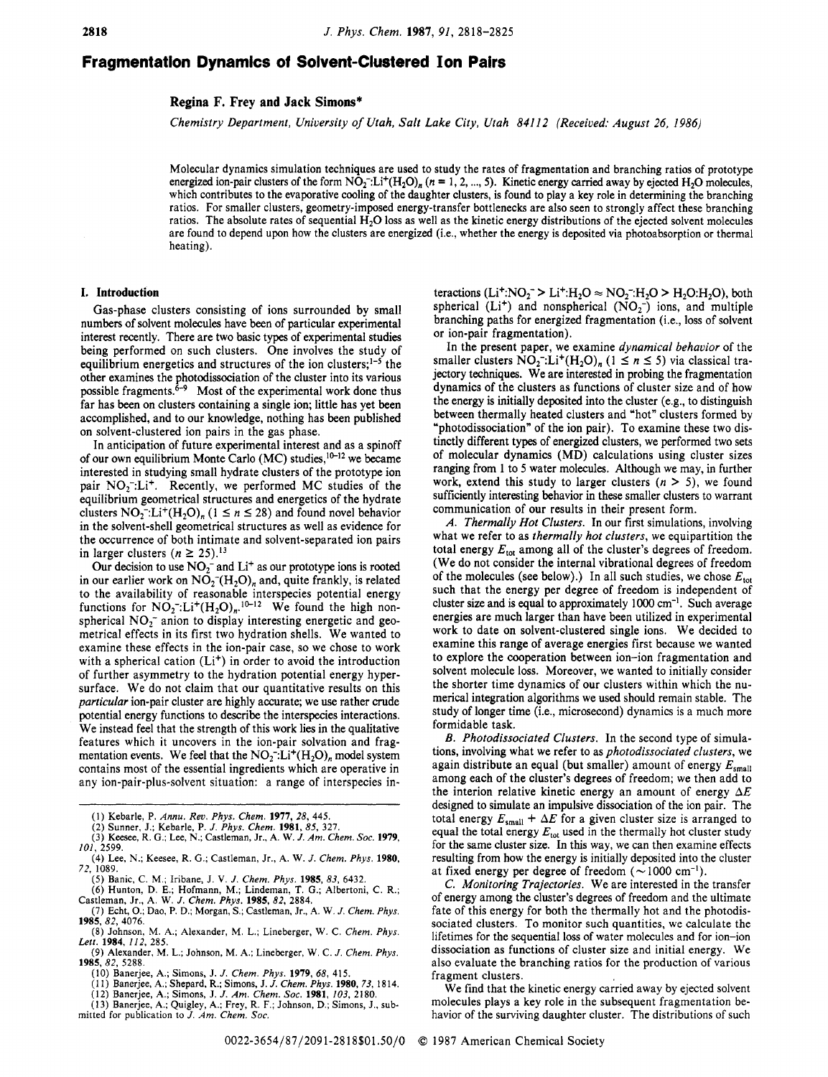# **Fragmentation Dynamics of Solvent-Clustered Ion Pairs**

### **Regina F. Frey and Jack Simons\***

*Chemistry Department, University of Utah, Salt Lake City, Utah 841 12 (Received: August 26, 1986)* 

Molecular dynamics simulation techniques are used to study the rates of fragmentation and branching ratios of prototype energized ion-pair clusters of the form  $NO_2^-$ :Li<sup>+</sup>(H<sub>2</sub>O)<sub>n</sub> ( $n = 1, 2, ..., 5$ ). Kinetic energy carried away by ejected H<sub>2</sub>O molecules, which contributes to the evaporative cooling of the daughter clusters, is found to play a key role in determining the branching ratios. For smaller clusters, geometry-imposed energy-transfer bottlenecks are also seen to strongly affect these branching ratios. The absolute rates of sequential  $H_2O$  loss as well as the kinetic energy distributions of the ejected solvent molecules are found to depend upon how the clusters are energized (i.e., whether the energy is deposited via photoabsorption or thermal heating).

#### **I. Introduction**

Gas-phase clusters consisting of ions surrounded by small numbers of solvent molecules have been of particular experimental interest recently. There are two basic types of experimental studies being performed on such clusters. One involves the study of equilibrium energetics and structures of the ion clusters;<sup>1-5</sup> the other examines the photodissociation of the cluster into its various possible fragments. $\dot{6}$ <sup>-9</sup> Most of the experimental work done thus far has been on clusters containing a single ion; little has yet been accomplished, and to our knowledge, nothing has been published on solvent-clustered ion pairs in the gas phase.

In anticipation of future experimental interest and as a spinoff of our own equilibrium Monte Carlo (MC) studies, <sup>10-12</sup> we became interested in studying small hydrate clusters of the prototype ion pair  $NO_2^- : Li^+$ . Recently, we performed MC studies of the equilibrium geometrical structures and energetics of the hydrate clusters  $NO_2^- L i^+ (H_2O)_n$  (1  $\le n \le 28$ ) and found novel behavior in the solvent-shell geometrical structures as well as evidence for the occurrence of both intimate and solvent-separated ion pairs in larger clusters  $(n \ge 25)$ .<sup>13</sup>

Our decision to use  $NO<sub>2</sub><sup>-</sup>$  and Li<sup>+</sup> as our prototype ions is rooted in our earlier work on  $NO_2^-(H_2O)_n$  and, quite frankly, is related to the availability of reasonable interspecies potential energy functions for  $NO_2^-: Li^+(H_2O)_n^{-10-12}$  We found the high nonspherical  $NO<sub>2</sub>$ <sup>-</sup> anion to display interesting energetic and geometrical effects in its first two hydration shells. We wanted to examine these effects in the ion-pair case, so we chose to work with a spherical cation  $(L<sup>i</sup>)$  in order to avoid the introduction of further asymmetry to the hydration potential energy hypersurface. We do not claim that our quantitative results on this *particular* ion-pair cluster are highly accurate; we use rather crude potential energy functions to describe the interspecies interactions. We instead feel that the strength of this work lies in the qualitative features which it uncovers in the ion-pair solvation and fragmentation events. We feel that the  $NO<sub>2</sub><sup>-</sup>: Li<sup>+</sup>(H<sub>2</sub>O)<sub>n</sub>$  model system contains most of the essential ingredients which are operative in any ion-pair-plus-solvent situation: a range of interspecies in-

- (1) Kebarle, P. *Annu. Rev. Phys. Chem.* **1977,** *28,* 445.
- 
- (2) Sunner, J.; Kebarle, P. J. *Phys. Chem.* **1981,** *85,* 327. (3) Keesee, R. *G.;* Lee, N.; Castleman, Jr., A. W. *J. Am. Chem. SOC.* **1979,**  *101,* 2599.
- (4) **Lee,** N.; Keesee, R. *G.;* Castleman, Jr., A. W. J. *Chem. Phys.* **1980, 72,** 1089.
- (5) Banic, **C.** M.; Iribane, J. V. *J. Chem. Phys.* **1985, 83,** 6432.
- (6) Hunton, D. E.; Hofmann, M.; Lindeman, T. G.; Albertoni, C. R.; Castleman, Jr., A. W. J. *Chem. Phys.* **1985, 82,** 2884.
- (7) Echt, 0.; Dao, P. D.; Morgan, *S.;* Castleman, Jr., A. W. *J. Chem. Phys. (8)* Johnson, M. A.; Alexander, M. L.; Lineberger, W. C. *Chem. Phys.*  **1985, 82,** 4076.
- *Lett.* **1984, 112,** 285.
- (9) Alexander, M. L.; Johnson, M. **A,;** Lineberger, W. C. J. *Chem. Phys.*  **1985,82,** 5288.
	- **(IO)** Banerjee, A.; Simons, J. J. *Chem. Phys.* **1979,** *68,* 415.
	- (1 1) Banerjee, A.; Shepard, R.; Simons, J. *J. Chem. Phys.* **1980,73,** 1814.
	- (12) Banerjee, A.; Simons, J. J. *Am. Chem. SOC.* **1981,** *103,* 2180.

(13) Banerjee, A.; Quigley, A.; Frey, R. F.; Johnson, D.; Simons, J., submitted for publication to J. Am. Chem. Soc.

teractions (Li<sup>+</sup>:NO<sub>2</sub><sup>-</sup>> Li<sup>+</sup>:H<sub>2</sub>O  $\approx$  NO<sub>2</sub><sup>-</sup>:H<sub>2</sub>O > H<sub>2</sub>O:H<sub>2</sub>O), both spherical ( $Li^+$ ) and nonspherical ( $NO_2^-$ ) ions, and multiple branching paths for energized fragmentation (i.e., loss of solvent or ion-pair fragmentation).

In the present paper, we examine *dynamical behavior* of the smaller clusters  $\overline{NO_2}$ : $\overline{Li^+(H_2O)}$ , (1 \le *n* \le 5) via classical trajectory techniques. We are interested in probing the fragmentation dynamics of the clusters as functions of cluster size and of how the energy is initially deposited into the cluster (e.g., to distinguish between thermally heated clusters and "hot" clusters formed by "photodissociation" of the ion pair). To examine these two distinctly different types of energized clusters, we performed two sets of molecular dynamics (MD) calculations using cluster sizes ranging from 1 to *5* water molecules. Although we may, in further work, extend this study to larger clusters  $(n > 5)$ , we found sufficiently interesting behavior in these smaller clusters to warrant communication of our results in their present form.

*A. Thermally Hot Clusters.* In our first simulations, involving what we refer to as *thermally hot clusters,* we equipartition the total energy  $E_{\text{tot}}$  among all of the cluster's degrees of freedom. (We do not consider the internal vibrational degrees of freedom of the molecules (see below).) In all such studies, we chose  $E_{\text{tot}}$ such that the energy per degree of freedom is independent of cluster size and is equal to approximately 1000 cm<sup>-1</sup>. Such average energies are much larger than have been utilized in experimental work to date on solvent-clustered single ions. We decided to examine this range of average energies first because we wanted to explore the cooperation between ion-ion fragmentation and solvent molecule loss. Moreover, we wanted to initially consider the shorter time dynamics of our clusters within which the numerical integration algorithms we used should remain stable. The study of longer time (i.e., microsecond) dynamics is a much more formidable task.

*B. Photodissociated Clusters.* In the second type of simulations, involving what we refer to as *photodissociated clusters,* we again distribute an equal (but smaller) amount of energy  $E_{\text{small}}$ among each of the cluster's degrees of freedom; we then add to the interion relative kinetic energy an amount of energy *AE*  designed to simulate an impulsive dissociation of the ion pair. The total energy  $E_{\text{small}} + \Delta E$  for a given cluster size is arranged to equal the total energy  $E_{\text{tot}}$  used in the thermally hot cluster study for the same cluster size. In this way, we can then examine effects resulting from how the energy is initially deposited into the cluster at fixed energy per degree of freedom  $(\sim 1000 \text{ cm}^{-1})$ .

*C. Monitoring Trajectories.* We are interested in the transfer of energy among the cluster's degrees of freedom and the ultimate fate of this energy for both the thermally hot and the photodissociated clusters. To monitor such quantities, we calculate the lifetimes for the sequential loss of water molecules and for ion-ion dissociation as functions of cluster size and initial energy. We also evaluate the branching ratios for the production of various fragment clusters.

We find that the kinetic energy carried away by ejected solvent molecules plays a key role in the subsequent fragmentation behavior of the surviving daughter cluster. The distributions of such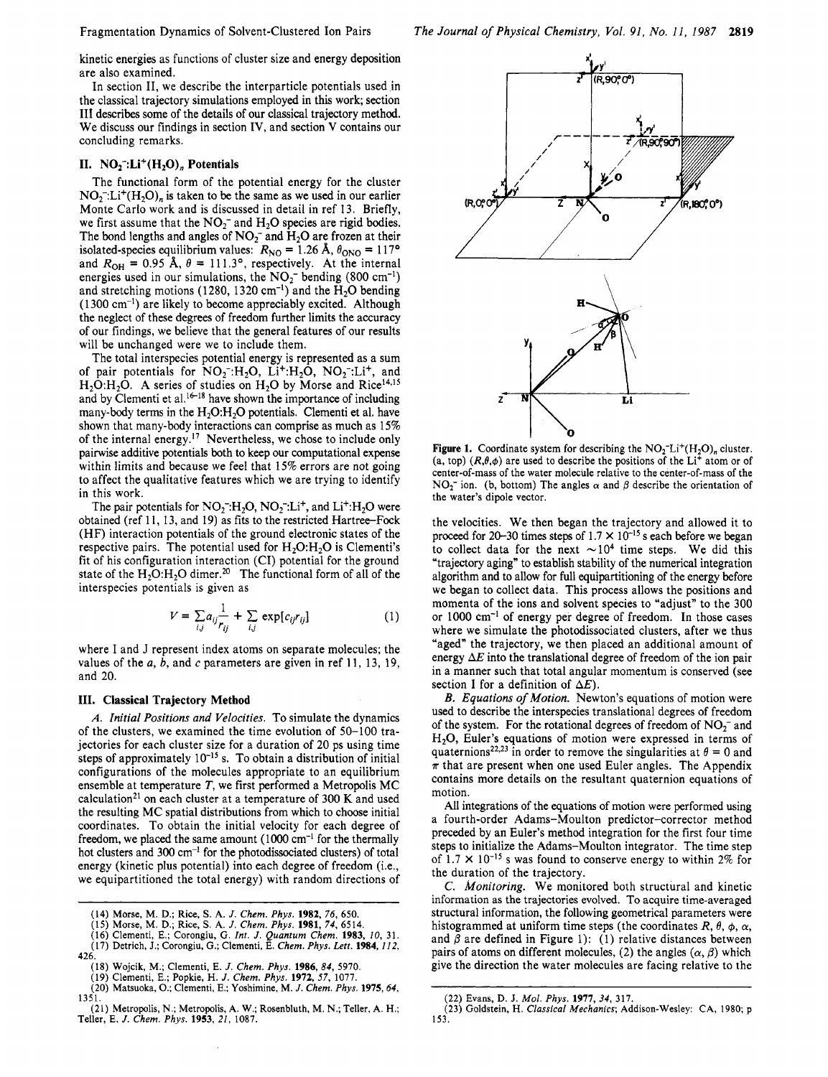kinetic energies as functions of cluster size and energy deposition are also examined.

In section 11, we describe the interparticle potentials used in the classical trajectory simulations employed in this work; section I11 describes some of the details of our classical trajectory method. We discuss our findings in section **IV,** and section **V** contains our concluding remarks.

# **11.**  $NO_2^-: Li^+(H_2O)_n$  Potentials

The functional form of the potential energy for the cluster  $NO<sub>2</sub><sup>-</sup>: Li<sup>+</sup>(H<sub>2</sub>O)<sub>n</sub>$  is taken to be the same as we used in our earlier Monte Carlo work and is discussed in detail in ref 13. Briefly, we first assume that the  $NO<sub>2</sub><sup>-</sup>$  and  $H<sub>2</sub>O$  species are rigid bodies. The bond lengths and angles of  $NO<sub>2</sub><sup>-</sup>$  and  $H<sub>2</sub>O$  are frozen at their isolated-species equilibrium values:  $R_{\text{NO}} = 1.26 \text{ Å}, \theta_{\text{ONO}} = 117^{\circ}$ and  $R_{OH} = 0.95$  Å,  $\theta = 111.3^{\circ}$ , respectively. At the internal energies used in our simulations, the  $NO_2^-$  bending (800 cm<sup>-1</sup>) and stretching motions (1280, 1320  $\text{cm}^{-1}$ ) and the H<sub>2</sub>O bending  $(1300 \text{ cm}^{-1})$  are likely to become appreciably excited. Although the neglect of these degrees of freedom further limits the accuracy of our findings, we believe that the general features of our results will be unchanged were we to include them.

The total interspecies potential energy is represented as a sum of pair potentials for  $NO_2^-:H_2O$ ,  $Li^+:H_2O$ ,  $NO_2^-:L^+$ , and  $H_2O:H_2O$ . A series of studies on  $H_2O$  by Morse and Rice<sup>14,15</sup> and by Clementi et al.<sup>16-18</sup> have shown the importance of including many-body terms in the  $H_2O:H_2O$  potentials. Clementi et al. have shown that many-body interactions can comprise as much as 15% of the internal energy.<sup>17</sup> Nevertheless, we chose to include only pairwise additive potentials both to keep our computational expense within limits and because we feel that 15% errors are not going to affect the qualitative features which we are trying to identify in this work.

The pair potentials for  $NO_2^-H_2O$ ,  $NO_2^-L_i^+$ , and  $Li^+H_2O$  were obtained (ref 11, 13, and 19) as fits to the restricted Hartree-Fock (HF) interaction potentials of the ground electronic states of the respective pairs. The potential used for  $H_2O:H_2O$  is Clementi's fit of his configuration interaction (CI) potential for the ground state of the  $H_2O:H_2O$  dimer.<sup>20</sup> The functional form of all of the interspecies potentials is given as

$$
V = \sum_{i,j} a_{ij} \frac{1}{r_{ij}} + \sum_{i,j} \exp[c_{ij}r_{ij}]
$$
 (1)

where I and J represent index atoms on separate molecules; the values of the *a*, *b*, and *c* parameters are given in ref 11, 13, 19, and 20.

#### **111. Classical Trajectory Method**

*A.* Initial Positions *and* Velocities. To simulate the dynamics of the clusters, we examined the time evolution of 50-100 trajectories for each cluster size for a duration of 20 ps using time steps of approximately  $10^{-15}$  s. To obtain a distribution of initial configurations of the molecules appropriate to an equilibrium ensemble at temperature *T,* we first performed a Metropolis MC calculation<sup>21</sup> on each cluster at a temperature of 300 K and used the resulting MC spatial distributions from which to choose initial coordinates. To obtain the initial velocity for each degree of freedom, we placed the same amount  $(1000 \text{ cm}^{-1}$  for the thermally hot clusters and 300 cm<sup>-1</sup> for the photodissociated clusters) of total energy (kinetic plus potential) into each degree of freedom (i.e., we equipartitioned the total energy) with random directions of



**Figure 1.** Coordinate system for describing the  $NO<sub>2</sub>-Li<sup>+</sup>(H<sub>2</sub>O)<sub>n</sub>$  cluster. (a, top)  $(R, \theta, \phi)$  are used to describe the positions of the Li<sup>+</sup> atom or of center-of-mass of the water molecule relative to the center-of-mass of the  $NO<sub>2</sub><sup>-</sup>$  ion. (b, bottom) The angles  $\alpha$  and  $\beta$  describe the orientation of the water's dipole vector.

the velocities. We then began the trajectory and allowed it to proceed for 20-30 times steps of  $1.7 \times 10^{-15}$  s each before we began to collect data for the next  $\sim 10^4$  time steps. We did this "trajectory aging" to establish stability of the numerical integration algorithm and to allow for full equipartitioning of the energy before we began to collect data. This process allows the positions and momenta of the ions and solvent species to "adjust" to the 300 or 1000 cm-' of energy per degree of freedom. In those cases where we simulate the photodissociated clusters, after we thus "aged" the trajectory, we then placed an additional amount of energy  $\Delta E$  into the translational degree of freedom of the ion pair in a manner such that total angular momentum is conserved (see section I for a definition of  $\Delta E$ ).

B. Equations of Motion. Newton's equations of motion were used to describe the interspecies translational degrees of freedom of the system. For the rotational degrees of freedom of  $NO<sub>2</sub><sup>-</sup>$  and **H20,** Euler's equations of motion were expressed in terms of quaternions<sup>22,23</sup> in order to remove the singularities at  $\theta = 0$  and  $\pi$  that are present when one used Euler angles. The Appendix contains more details on the resultant quaternion equations of motion.

All integrations of the equations of motion were performed using a fourth-order Adams-Moulton predictor-corrector method preceded by an Euler's method integration for the first four time steps to initialize the Adams-Moulton integrator. The time step of  $1.7 \times 10^{-15}$  s was found to conserve energy to within 2% for the duration of the trajectory.

*C.* Monitoring. We monitored both structural and kinetic information as the trajectories evolved. To acquire time-averaged structural information, the following geometrical parameters were histogrammed at uniform time steps (the coordinates  $R$ ,  $\theta$ ,  $\phi$ ,  $\alpha$ , and  $\beta$  are defined in Figure 1): (1) relative distances between pairs of atoms on different molecules, (2) the angles  $(\alpha, \beta)$  which give the direction the water molecules are facing relative to the

Morse, M. D.; Rice, S. A. J. Chem. Phys. 1982, 76, 650.<br>Morse, M. D.; Rice, S. A. J. Chem. Phys. 1981, 74, 6514.<br>Clementi, E.; Corongiu, G. *Int. J. Quantum Chem.* 1983, 10, 31.<br>Detrich, J.; Corongiu, G.; Clementi, E. Che

<sup>(18)</sup> Wojcik, M.; Clementi, **E.** *J. Chem. Phys.* **1986, 84,** 5970. (19) Clementi, E.; Popkie, H. *J. Chem. Phys.* **1972, 57,** 1077.

<sup>(21)</sup> Metropolis, N.; Metropolis, A. W.; Rosenbluth, M. **N.;** Teller, A. H.; Teller, **E.** *J. Chem. Phys.* **1953,** *21,* 1087.

<sup>(22)</sup> **Evans,** D. J. *Mol. Phys.* **1977,** *34,* 317.

<sup>(23)</sup> Goldstein, H. *Classical Mechanics;* Addison-Wesley: CA, 1980; p 153.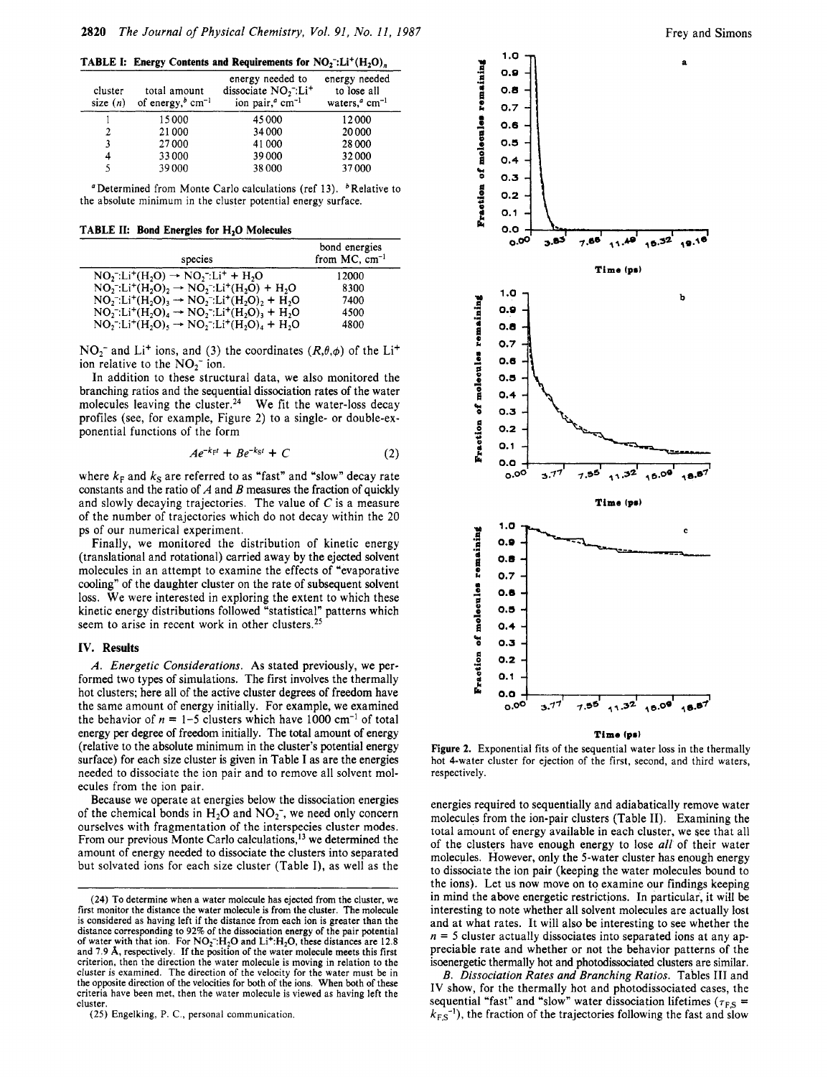**TABLE I: Energy Contents and Requirements for**  $NO<sub>2</sub>$ **:** $Li<sup>+</sup>(H<sub>2</sub>O)$ <sub>n</sub>

| cluster<br>size $(n)$ | total amount<br>of energy, $^b$ cm <sup>-1</sup> | energy needed to<br>dissociate $NO2$ :Li <sup>+</sup><br>ion pair, <sup>a</sup> cm <sup>-1</sup> | energy needed<br>to lose all<br>waters, <sup><math>a</math></sup> cm <sup>-1</sup> |  |
|-----------------------|--------------------------------------------------|--------------------------------------------------------------------------------------------------|------------------------------------------------------------------------------------|--|
|                       | 15000                                            | 45 000                                                                                           | 12000                                                                              |  |
| $\overline{2}$        | 21000                                            | 34 000                                                                                           | 20000                                                                              |  |
| 3                     | 27000                                            | 41000                                                                                            | 28 000                                                                             |  |
| 4                     | 33000                                            | 39000                                                                                            | 32000                                                                              |  |
| 5                     | 39000                                            | 38 000                                                                                           | 37000                                                                              |  |

"Determined from Monte Carlo calculations (ref 13).  $<sup>b</sup>$  Relative to</sup> the absolute minimum in the cluster potential energy surface.

**TABLE 11: Bond Energies for H,O Molecules** 

| species                                                                                                                                          | bond energies<br>from $MC$ , cm <sup>-1</sup> |
|--------------------------------------------------------------------------------------------------------------------------------------------------|-----------------------------------------------|
| $NO_2$ . Li <sup>+</sup> (H <sub>2</sub> O) $\rightarrow NO_2$ . Li <sup>+</sup> + H <sub>2</sub> O                                              | 12000                                         |
| $NO_2$ . Li <sup>+</sup> (H <sub>2</sub> O), $\rightarrow NO_2$ . Li <sup>+</sup> (H <sub>2</sub> O) + H <sub>2</sub> O                          | 8300                                          |
| $NO_2^- : Li^+(H_2O)_3 \rightarrow NO_2^- : Li^+(H_2O)_2 + H_2O$                                                                                 | 7400                                          |
| $NO_2^- : Li^+(H_2O)_4 \rightarrow NO_2^- : Li^+(H_2O)_3 + H_2O$                                                                                 | 4500                                          |
| $NO_2$ . Li <sup>+</sup> (H <sub>2</sub> O) <sub>5</sub> $\rightarrow NO_2$ . Li <sup>+</sup> (H <sub>2</sub> O) <sub>4</sub> + H <sub>2</sub> O | 4800                                          |

 $NO_2^-$  and Li<sup>+</sup> ions, and (3) the coordinates  $(R, \theta, \phi)$  of the Li<sup>+</sup> ion relative to the NO<sub>2</sub><sup>-</sup> ion.

In addition to these structural data, we also monitored the branching ratios and the sequential dissociation rates of the water molecules leaving the cluster.<sup>24</sup> We fit the water-loss decay profiles (see, for example, Figure *2)* to a single- or double-exponential functions of the form

$$
Ae^{-k_{\rm F}t} + Be^{-k_{\rm S}t} + C \tag{2}
$$

where  $k_F$  and  $k_S$  are referred to as "fast" and "slow" decay rate constants and the ratio of *A* and *B* measures the fraction of quickly and slowly decaying trajectories. The value of *C* is a measure of the number of trajectories which do not decay within the 20 ps of our numerical experiment.

Finally, we monitored the distribution of kinetic energy (translational and rotational) carried away by the ejected solvent molecules in an attempt to examine the effects of "evaporative cooling" of the daughter cluster on the rate of subsequent solvent loss. We were interested in exploring the extent to which these kinetic energy distributions followed "statistical" patterns which seem to arise in recent work in other clusters.<sup>25</sup>

#### **IV. Results**

*A. Energetic Considerations.* **As** stated previously, we performed two types of simulations. The first involves the thermally hot clusters; here all of the active cluster degrees of freedom have the same amount of energy initially. For example, we examined the behavior of  $n = 1-5$  clusters which have 1000 cm<sup>-1</sup> of total energy **per** degree of freedom initially. The total amount of energy (relative to the absolute minimum in the cluster's potential energy surface) for each size cluster is given in Table **I** as are the energies needed to dissociate the ion pair and to remove all solvent molecules from the ion pair.

Because we operate at energies below the dissociation energies of the chemical bonds in  $H_2O$  and  $NO_2^-$ , we need only concern ourselves with fragmentation of the interspecies cluster modes. From our previous Monte Carlo calculations,<sup>13</sup> we determined the amount of energy needed to dissociate the clusters into separated but solvated ions for each size cluster (Table I), as well as the



**Figure 2.** Exponential fits of the sequential water **loss** in the thermally hot 4-water cluster for ejection of the first, second, and third waters, respectively.

energies required to sequentially and adiabatically remove water molecules from the ion-pair clusters (Table **11).** Examining the total amount of energy available in each cluster, we see that all of the clusters have enough energy to lose *all* of their water molecules. However, only the 5-water cluster has enough energy to dissociate the ion pair (keeping the water molecules bound to the ions). Let **us** now move on to examine our findings keeping in mind the above energetic restrictions. In particular, it will be interesting to note whether all solvent molecules are actually lost and at what rates. It will also be interesting to see whether the  $n = 5$  cluster actually dissociates into separated ions at any appreciable rate and whether or not the behavior patterns of the isaenergetic thermally hot and photodissociated clusters are similar.

*B. Dissociation Rates and Branching Ratios.* Tables **I11** and **IV** show, for the thermally hot and photodissociated cases, the sequential "fast" and "slow" water dissociation lifetimes ( $\tau_{FS}$  =  $k_{F,S}$ <sup>-1</sup>), the fraction of the trajectories following the fast and slow

**<sup>(24)</sup>** *To* determine when a water molecule has ejected from the cluster, we first monitor the distance the water molecule is from the cluster. The molecule is considered as having left if the distance from each ion is greater than the distance corresponding to 92% of the dissociation energy of the pair potential of water with that ion. For NO<sub>2</sub><sup>-</sup>:H<sub>2</sub>O and Li<sup>+</sup>:H<sub>2</sub>O, these distances are 12.8 and **7.9 A,** respectively. If the position of the water molecule meets this first criterion, then the direction the water molecule is moving in relation to the cluster **is** examined. The direction of the velocity for the water must be in the opposite direction of the velocities for both of the ions. When both of these criteria have been met, then the water molecule is viewed as having left the cluster

<sup>(25)</sup> Engelking, P. C., personal communication.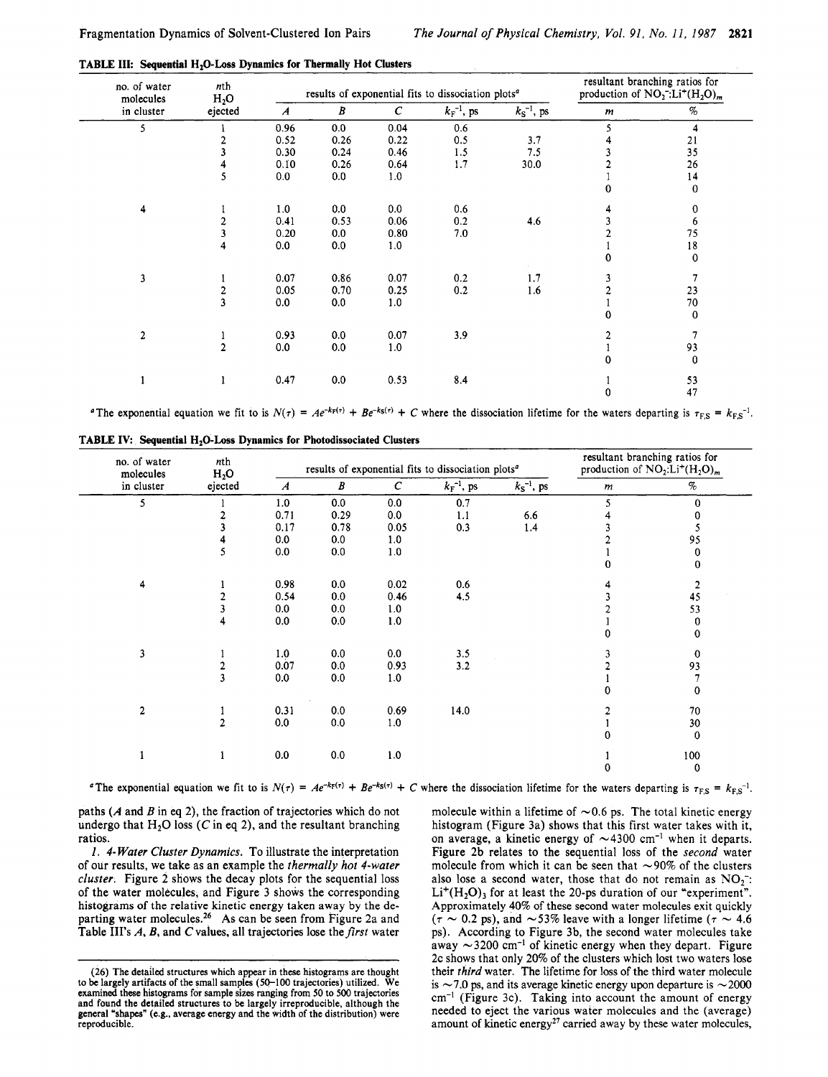| no. of water<br>molecules<br>in cluster | nth<br>H <sub>2</sub> O | results of exponential fits to dissociation plots <sup>a</sup> |      |              |                 |                 | resultant branching ratios for<br>production of $NO_2^-: Li^+(H_2O)_m$ |             |
|-----------------------------------------|-------------------------|----------------------------------------------------------------|------|--------------|-----------------|-----------------|------------------------------------------------------------------------|-------------|
|                                         | ejected                 | $\boldsymbol{A}$                                               | B    | $\mathcal C$ | $k_F^{-1}$ , ps | $k_S^{-1}$ , ps | $\boldsymbol{m}$                                                       | $\%$        |
| 5                                       |                         | 0.96                                                           | 0.0  | 0.04         | 0.6             |                 |                                                                        | 4           |
|                                         |                         | 0.52                                                           | 0.26 | 0.22         | 0.5             | 3.7             |                                                                        | $21$        |
|                                         |                         | 0.30                                                           | 0.24 | 0.46         | 1.5             | 7.5             |                                                                        | 35          |
|                                         | 4                       | 0.10                                                           | 0.26 | 0.64         | 1.7             | 30.0            |                                                                        | 26          |
|                                         | 5                       | 0.0                                                            | 0.0  | 1.0          |                 |                 |                                                                        | 14          |
|                                         |                         |                                                                |      |              |                 |                 | U                                                                      | $\mathbf 0$ |
| 4                                       |                         | 1.0                                                            | 0.0  | 0.0          | 0.6             |                 |                                                                        | 0           |
|                                         | 2                       | 0.41                                                           | 0.53 | 0.06         | 0.2             | 4.6             |                                                                        | 6           |
|                                         | 3                       | 0.20                                                           | 0.0  | 0.80         | 7.0             |                 |                                                                        | 75          |
|                                         | 4                       | 0.0                                                            | 0.0  | 1.0          |                 |                 |                                                                        | $18\,$      |
|                                         |                         |                                                                |      |              |                 |                 | Û                                                                      | $\mathbf 0$ |
| $\mathbf{3}$                            |                         | 0.07                                                           | 0.86 | 0.07         | 0.2             | 1.7             |                                                                        |             |
|                                         |                         | 0.05                                                           | 0.70 | 0.25         | 0.2             | 1.6             |                                                                        | 23          |
|                                         | $\frac{2}{3}$           | 0.0                                                            | 0.0  | 1.0          |                 |                 |                                                                        | 70          |
|                                         |                         |                                                                |      |              |                 |                 | 0                                                                      | $\bf{0}$    |
| $\overline{2}$                          |                         | 0.93                                                           | 0.0  | 0.07         | 3.9             |                 |                                                                        | 7           |
|                                         | $\overline{a}$          | 0.0                                                            | 0.0  | 1.0          |                 |                 |                                                                        | 93          |
|                                         |                         |                                                                |      |              |                 |                 | 0                                                                      | 0           |
|                                         | ł                       | 0.47                                                           | 0.0  | 0.53         | 8.4             |                 |                                                                        | 53          |
|                                         |                         |                                                                |      |              |                 |                 |                                                                        | 47          |

**TABLE III: Sequential H<sub>2</sub>O-Loss Dynamics for Thermally Hot Clusters** 

<sup>a</sup>The exponential equation we fit to is  $N(\tau) = Ae^{-k_F(\tau)} + Be^{-k_S(\tau)} + C$  where the dissociation lifetime for the waters departing is  $\tau_{FS} = k_{FS}^{-1}$ .

| no. of water<br>molecules<br>in cluster | nth<br>$H_2O$<br>ejected | results of exponential fits to dissociation plots <sup>a</sup> |      |               |                          |                 | resultant branching ratios for<br>production of $NO_2:Li^+(H_2O)_m$ |                |
|-----------------------------------------|--------------------------|----------------------------------------------------------------|------|---------------|--------------------------|-----------------|---------------------------------------------------------------------|----------------|
|                                         |                          | $\boldsymbol{A}$                                               | B    | $\mathcal{C}$ | $k_{\text{F}}^{-1}$ , ps | $k_S^{-1}$ , ps | $\boldsymbol{m}$                                                    | $\%$           |
| 5                                       |                          | 1.0                                                            | 0.0  | 0.0           | 0.7                      |                 | 5                                                                   | 0              |
|                                         |                          | 0.71                                                           | 0.29 | 0.0           | 1.1                      | 6.6             |                                                                     | 0              |
|                                         |                          | 0.17                                                           | 0.78 | 0.05          | 0.3                      | 1.4             |                                                                     | 5              |
|                                         |                          | 0.0                                                            | 0.0  | 1.0           |                          |                 |                                                                     | 95             |
|                                         | 5                        | 0.0                                                            | 0.0  | 1.0           |                          |                 |                                                                     | 0              |
|                                         |                          |                                                                |      |               |                          |                 | 0                                                                   | $\bf{0}$       |
| 4                                       |                          | 0.98                                                           | 0.0  | 0.02          | 0.6                      |                 |                                                                     | $\overline{2}$ |
|                                         | $\overline{2}$           | 0.54                                                           | 0.0  | 0.46          | 4.5                      |                 |                                                                     | 45             |
|                                         | 3                        | 0.0                                                            | 0.0  | 1.0           |                          |                 |                                                                     | 53             |
|                                         | 4                        | 0.0                                                            | 0.0  | 1.0           |                          |                 |                                                                     | 0              |
|                                         |                          |                                                                |      |               |                          |                 | n                                                                   | $\mathbf 0$    |
| 3                                       |                          | 1.0                                                            | 0.0  | 0.0           | 3.5                      |                 |                                                                     | $\mathbf 0$    |
|                                         | $\overline{\mathbf{c}}$  | 0.07                                                           | 0.0  | 0.93          | 3.2                      |                 |                                                                     | 93             |
|                                         | $\overline{\mathbf{3}}$  | 0.0                                                            | 0.0  | 1.0           |                          |                 |                                                                     | $\overline{7}$ |
|                                         |                          |                                                                |      |               |                          |                 | Ω                                                                   | $\mathbf 0$    |
| $\overline{2}$                          |                          | 0.31                                                           | 0.0  | 0.69          | 14.0                     |                 |                                                                     | 70             |
|                                         | $\overline{2}$           | 0.0                                                            | 0.0  | 1.0           |                          |                 |                                                                     | 30             |
|                                         |                          |                                                                |      |               |                          |                 |                                                                     | $\bf{0}$       |
|                                         | 1                        | 0.0                                                            | 0.0  | 1.0           |                          |                 |                                                                     | 100            |
|                                         |                          |                                                                |      |               |                          |                 | $\theta$                                                            | 0              |

TABLE IV: Sequential H<sub>2</sub>O-Loss Dynamics for Photodissociated Clusters

The exponential equation we fit to is  $N(\tau) = Ae^{-k_F(\tau)} + Be^{-k_S(\tau)} + C$  where the dissociation lifetime for the waters departing is  $\tau_{F,S} = k_{F,S}^{-1}$ .

paths *(A* and *B* in eq 2), the fraction of trajectories which do not undergo that  $H_2O$  loss (C in eq 2), and the resultant branching ratios.

*1. 4- Water Cluster Dynamics.* To illustrate the interpretation of our results, we take as an example the *thermally hot 4-water cluster.* Figure 2 shows the decay plots for the sequential loss of the water molecules, and Figure 3 shows the corresponding histograms of the relative kinetic energy taken away by the departing water molecules.<sup>26</sup> As can be seen from Figure 2a and Table III's A, B, and C values, all trajectories lose the first water molecule within a lifetime of  $\sim 0.6$  ps. The total kinetic energy histogram (Figure 3a) shows that this first water takes with it, on average, a kinetic energy of  $\sim$ 4300 cm<sup>-1</sup> when it departs. Figure 2b relates to the sequential loss of the *second* water molecule from which it can be seen that  $\sim$ 90% of the clusters also lose a second water, those that do not remain as  $NO<sub>2</sub>$ .  $Li^+(H_2O)_3$  for at least the 20-ps duration of our "experiment". Approximately 40% of these second water molecules exit quickly  $(\tau \sim 0.2 \text{ ps})$ , and  $\sim 53\%$  leave with a longer lifetime  $(\tau \sim 4.6 \text{ s})$ ps). According to Figure 3b, the second water molecules take away  $\sim$ 3200 cm<sup>-1</sup> of kinetic energy when they depart. Figure 2c shows that only 20% of the clusters which lost two waters lose their *third* water. The lifetime for loss of the third water molecule is  $\sim$  7.0 ps, and its average kinetic energy upon departure is  $\sim$  2000  $cm^{-1}$  (Figure 3c). Taking into account the amount of energy needed to eject the various water molecules and the (average) amount of kinetic energy<sup>27</sup> carried away by these water molecules,

**<sup>(26)</sup>** The detailed structures which appear in these histograms are thought to be largely artifacts of the small samples **(5C-100** trajectories) utilized. **We**  examined these histograms for sample **sizes** ranging from *50* to *500* trajectories and found the detailed structures to be largely irreproducible, although the general "shapes" (e.g., average energy and the width of the distribution) were reproducible.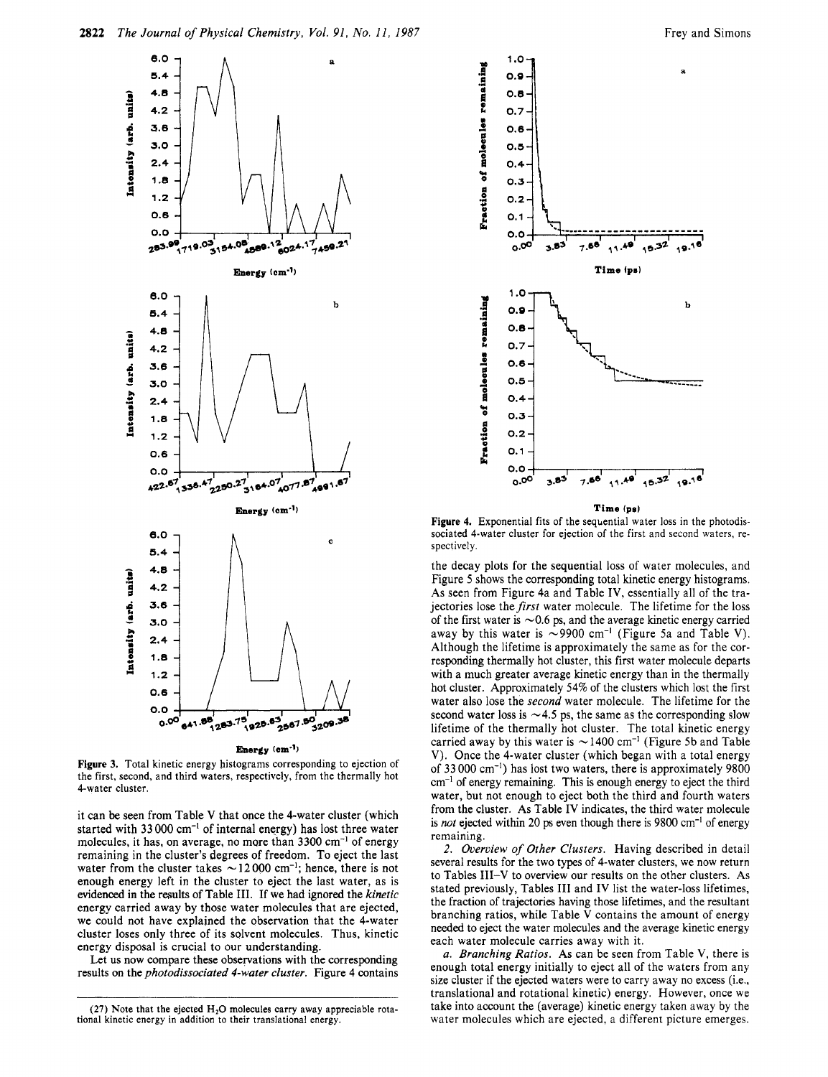

**Figure 3.** Total kinetic energy histograms corresponding to ejection of the first, second, and third waters, respectively, from the thermally hot 4-water cluster.

it can be seen from Table **V** that once the 4-water cluster (which started with 33 000 cm<sup>-1</sup> of internal energy) has lost three water molecules, it has, on average, no more than  $3300 \text{ cm}^{-1}$  of energy remaining in the cluster's degrees of freedom. To eject the last water from the cluster takes  $\sim$  12 000 cm<sup>-1</sup>; hence, there is not enough energy left in the cluster to eject the last water, as is evidenced in the **results** of Table **111.** If we had ignored the *kinetic*  energy carried away by those water molecules that are ejected, we could not have explained the observation that the 4-water cluster loses only three of its sqlvent molecules. Thus, kinetic energy disposal is crucial to our understanding.

Let **us** now compare these observations with the corresponding results on the *photodissociated 4-water cluster.* Figure 4 contains



**Time (pel** 

Figure 4. Exponential fits of the sequential water loss in the photodissociated 4-water cluster for ejection of the first and second waters, respectively.

the decay plots for the sequential loss of water molecules, and Figure 5 shows the corresponding total kinetic energy histograms. As seen from Figure 4a and Table **IV,** essentially all of the trajectories lose the first water molecule. The lifetime for the loss of the first water is  $\sim 0.6$  ps, and the average kinetic energy carried away by this water is  $\sim$ 9900 cm<sup>-1</sup> (Figure 5a and Table V). Although the lifetime is approximately the same as for the corresponding thermally hot cluster, this first water molecule departs with a much greater average kinetic energy than in the thermally hot cluster. Approximately 54% of the clusters which lost the first water also lose the *second* water molecule. The lifetime for the second water loss is  $\sim$  4.5 ps, the same as the corresponding slow lifetime of the thermally hot cluster. The total kinetic energy carried away by this water is  $\sim$  1400 cm<sup>-1</sup> (Figure 5b and Table **V).** Once the 4-water cluster (which began with a total energy of 33 000 cm-') has lost two waters, there is approximately 9800  $cm<sup>-1</sup>$  of energy remaining. This is enough energy to eject the third water, but not enough to eject both the third and fourth waters from the cluster. As Table **IV** indicates, the third water molecule is *not* ejected within *20* **ps** even though there is 9800 cm-I of energy remaining.

*2. Overview of Other Clusters.* Having described in detail several results for the two types of 4-water clusters, we now return to Tables **111-V** to overview our results on the other clusters. As stated previously, Tables **111** and **IV** list the water-loss lifetimes, the fraction of trajectories having those lifetimes, and the resultant branching ratios, while Table **V** contains the amount of energy needed to eject the water molecules and the average kinetic energy each water molecule carries away with it.

*a. Branching Ratios.* As can be seen from Table **V,** there is enough total energy initially to eject all of the waters from any size cluster if the ejected waters were to carry away no excess (i.e., translational and rotational kinetic) energy. However, once we take into account the (average) kinetic energy taken away by the water molecules which are ejected, a different picture emerges.

**<sup>(27)</sup>** Note that the ejected **H20 molecules** carry away appreciable rotational kinetic energy in addition to their translational energy.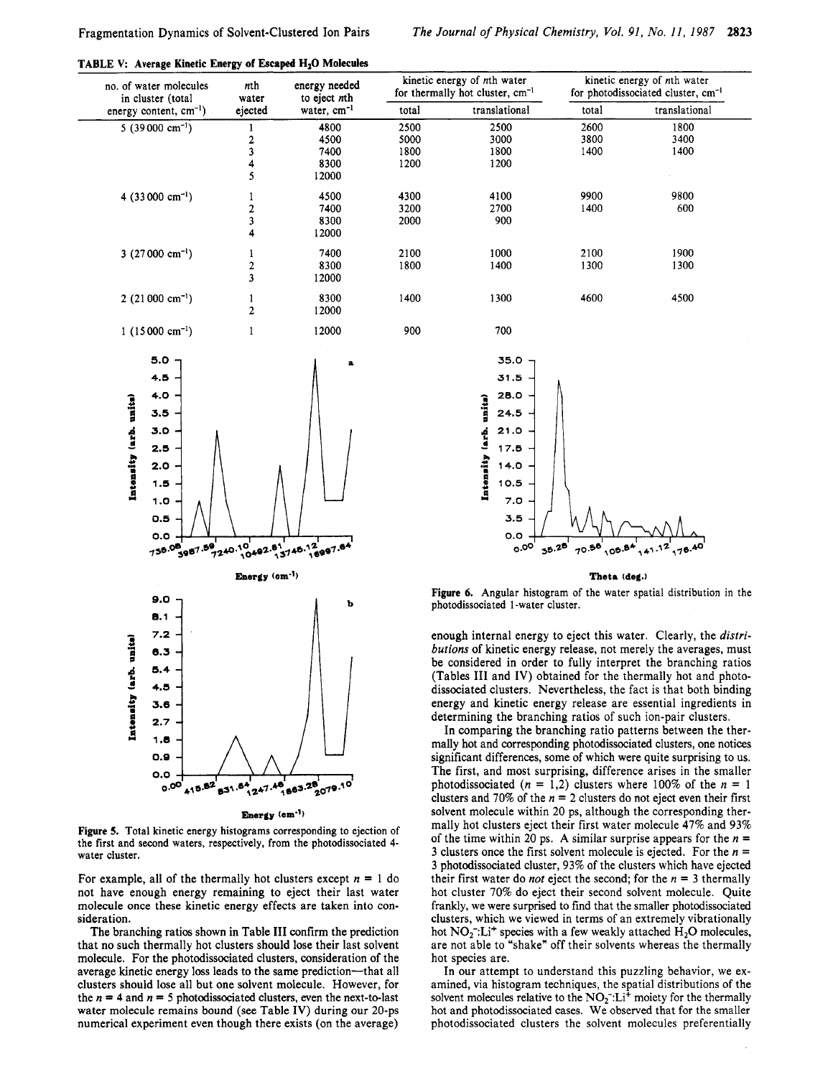| no. of water molecules<br>in cluster (total | nth<br>water<br>ejected    | energy needed<br>to eject nth<br>water, cm <sup>-1</sup> |       | kinetic energy of nth water<br>for thermally hot cluster, cm <sup>-1</sup>  | kinetic energy of nth water<br>for photodissociated cluster, cm <sup>-1</sup> |                                                                                                                  |
|---------------------------------------------|----------------------------|----------------------------------------------------------|-------|-----------------------------------------------------------------------------|-------------------------------------------------------------------------------|------------------------------------------------------------------------------------------------------------------|
| energy content, cm <sup>-1</sup> )          |                            |                                                          | total | translational                                                               | total                                                                         | translational                                                                                                    |
| $5(39000 \text{ cm}^{-1})$                  | 1                          | 4800                                                     | 2500  | 2500                                                                        | 2600                                                                          | 1800                                                                                                             |
|                                             | 2                          | 4500                                                     | 5000  | 3000                                                                        | 3800                                                                          | 3400                                                                                                             |
|                                             | 3                          | 7400                                                     | 1800  | 1800                                                                        | 1400                                                                          | 1400                                                                                                             |
|                                             | 4                          | 8300                                                     | 1200  | 1200                                                                        |                                                                               |                                                                                                                  |
|                                             | 5                          | 12000                                                    |       |                                                                             |                                                                               |                                                                                                                  |
| 4 $(33000 \text{ cm}^{-1})$                 | 1                          | 4500                                                     | 4300  | 4100                                                                        | 9900                                                                          | 9800                                                                                                             |
|                                             | 2                          | 7400                                                     | 3200  | 2700                                                                        | 1400                                                                          | 600                                                                                                              |
|                                             | 3                          | 8300                                                     | 2000  | 900                                                                         |                                                                               |                                                                                                                  |
|                                             | 4                          | 12000                                                    |       |                                                                             |                                                                               |                                                                                                                  |
| 3 $(27000 \text{ cm}^{-1})$                 | 1                          | 7400                                                     | 2100  | 1000                                                                        | 2100                                                                          | 1900                                                                                                             |
|                                             | 2                          | 8300                                                     | 1800  | 1400                                                                        | 1300                                                                          | 1300                                                                                                             |
|                                             | 3                          |                                                          |       |                                                                             |                                                                               |                                                                                                                  |
|                                             |                            | 12000                                                    |       |                                                                             |                                                                               |                                                                                                                  |
| $2(21000 \text{ cm}^{-1})$                  | 1                          | 8300                                                     | 1400  | 1300                                                                        | 4600                                                                          | 4500                                                                                                             |
|                                             | $\overline{2}$             | 12000                                                    |       |                                                                             |                                                                               |                                                                                                                  |
| $1(15000 \text{ cm}^{-1})$                  | 1                          | 12000                                                    | 900   | 700                                                                         |                                                                               |                                                                                                                  |
|                                             |                            |                                                          |       |                                                                             |                                                                               |                                                                                                                  |
| 5.0                                         |                            | a                                                        |       | 35.0                                                                        |                                                                               |                                                                                                                  |
| 4.5                                         |                            |                                                          |       | 31.5                                                                        |                                                                               |                                                                                                                  |
|                                             |                            |                                                          |       |                                                                             |                                                                               |                                                                                                                  |
| 4.0                                         |                            |                                                          |       | 28.0                                                                        |                                                                               |                                                                                                                  |
| 3.5                                         |                            |                                                          |       | 24.5                                                                        |                                                                               |                                                                                                                  |
| 3.0                                         |                            |                                                          |       | 21.0                                                                        |                                                                               |                                                                                                                  |
|                                             |                            |                                                          |       |                                                                             |                                                                               |                                                                                                                  |
| 2.5                                         |                            |                                                          |       | 17.5                                                                        |                                                                               |                                                                                                                  |
| 2.0                                         |                            |                                                          |       | 14.0                                                                        |                                                                               |                                                                                                                  |
|                                             |                            |                                                          |       |                                                                             |                                                                               |                                                                                                                  |
| Intensity (arb. units)<br>1.5               |                            |                                                          |       | Intensity (arb. units)<br>10.5                                              |                                                                               |                                                                                                                  |
| 1.0                                         |                            |                                                          |       | 7.0                                                                         |                                                                               |                                                                                                                  |
|                                             |                            |                                                          |       |                                                                             |                                                                               |                                                                                                                  |
| 0.5                                         |                            |                                                          |       | 3.5                                                                         |                                                                               |                                                                                                                  |
| O.O                                         |                            |                                                          |       | O.O<br>$\circ \cdot$ <sup>oo'</sup>                                         |                                                                               |                                                                                                                  |
| 3987.59<br>736.08                           |                            | 9 240-10 492-81 145-12 997-64                            |       |                                                                             | 55.28<br>70.56<br>105                                                         |                                                                                                                  |
|                                             | Energy (cm <sup>-1</sup> ) |                                                          |       |                                                                             | Theta (deg.)                                                                  |                                                                                                                  |
|                                             |                            |                                                          |       | <b>Figure 6.</b> Angular histogram of the water spatial distribution        |                                                                               |                                                                                                                  |
| 9.0                                         |                            | b                                                        |       | photodissociated 1-water cluster.                                           |                                                                               |                                                                                                                  |
| 8.1                                         |                            |                                                          |       |                                                                             |                                                                               |                                                                                                                  |
| 7.2                                         |                            |                                                          |       | enough internal energy to eject this water. Clearly, the $\alpha$           |                                                                               |                                                                                                                  |
| 6.3                                         |                            |                                                          |       | butions of kinetic energy release, not merely the averages,                 |                                                                               |                                                                                                                  |
|                                             |                            |                                                          |       | be considered in order to fully interpret the branching                     |                                                                               |                                                                                                                  |
| 5.4                                         |                            |                                                          |       | (Tables III and IV) obtained for the thermally hot and p                    |                                                                               |                                                                                                                  |
| 4.5                                         |                            |                                                          |       | dissociated clusters. Nevertheless, the fact is that both bi                |                                                                               |                                                                                                                  |
|                                             |                            |                                                          |       |                                                                             |                                                                               |                                                                                                                  |
| 3.6                                         |                            |                                                          |       | energy and kinetic energy release are essential ingredie                    |                                                                               |                                                                                                                  |
| Intensity (arb. units)<br>2.7               |                            |                                                          |       | determining the branching ratios of such ion-pair cluster                   |                                                                               |                                                                                                                  |
| 1,8                                         |                            |                                                          |       | In comparing the branching ratio patterns between the                       |                                                                               |                                                                                                                  |
|                                             |                            |                                                          |       | mally hot and corresponding photodissociated clusters, one n<br>ter a steel |                                                                               | and the contract of the state of the contract of the contract of the contract of the contract of the contract of |

**Energy (am")** 

**Figure 5.** Total kinetic energy histograms corresponding to ejection of the first and second waters, respectively, from the photodissociated 4 water cluster.

For example, all of the thermally hot clusters except  $n = 1$  do not have enough energy remaining to eject their last water molecule once these kinetic energy effects are taken into consideration.

The branching ratios shown in Table I11 confirm the prediction that no such thermally hot clusters should lose their last solvent molecule. For the photodissociated clusters, consideration of the average kinetic energy loss leads to the same prediction-that all clusters should lose all but one solvent molecule. However, for the  $n = 4$  and  $n = 5$  photodissociated clusters, even the next-to-last water molecule remains bound (see Table IV) during our 20-ps numerical experiment even though there exists (on the average)

ion in the

e *distributions* of kinetic energy release, not merely the averages, must ng ratios d photobinding dients in determining the branching ratios of such ion-pair clusters.

the therne notices significant differences, some of which were quite surprising to us. The first, and most surprising, difference arises in the smaller photodissociated  $(n = 1,2)$  clusters where 100% of the  $n = 1$ clusters and 70% of the  $n = 2$  clusters do not eject even their first solvent molecule within 20 ps, although the corresponding thermally hot clusters eject their first water molecule **47%** and 93% of the time within 20 ps. **A** similar surprise appears for the *n* = 3 clusters once the first solvent molecule is ejected. For the *n* = 3 photodissociated cluster, 93% of the clusters which have ejected their first water do *not* eject the second; for the  $n = 3$  thermally hot cluster 70% do eject their second solvent molecule. Quite frankly, we were surprised to find that the smaller photodissociated clusters, which we viewed in terms of an extremely vibrationally hot NO<sub>2</sub>: Li<sup>+</sup> species with a few weakly attached H<sub>2</sub>O molecules, are not able to "shake" off their solvents whereas the thermally hot species are.

In our attempt to understand this puzzling behavior, we examined, via histogram techniques, the spatial distributions of the solvent molecules relative to the  $NO<sub>2</sub><sup>-</sup>: Li<sup>+</sup>$  moiety for the thermally hot and photodissociated cases. We observed that for the smaller photodissociated clusters the solvent molecules preferentially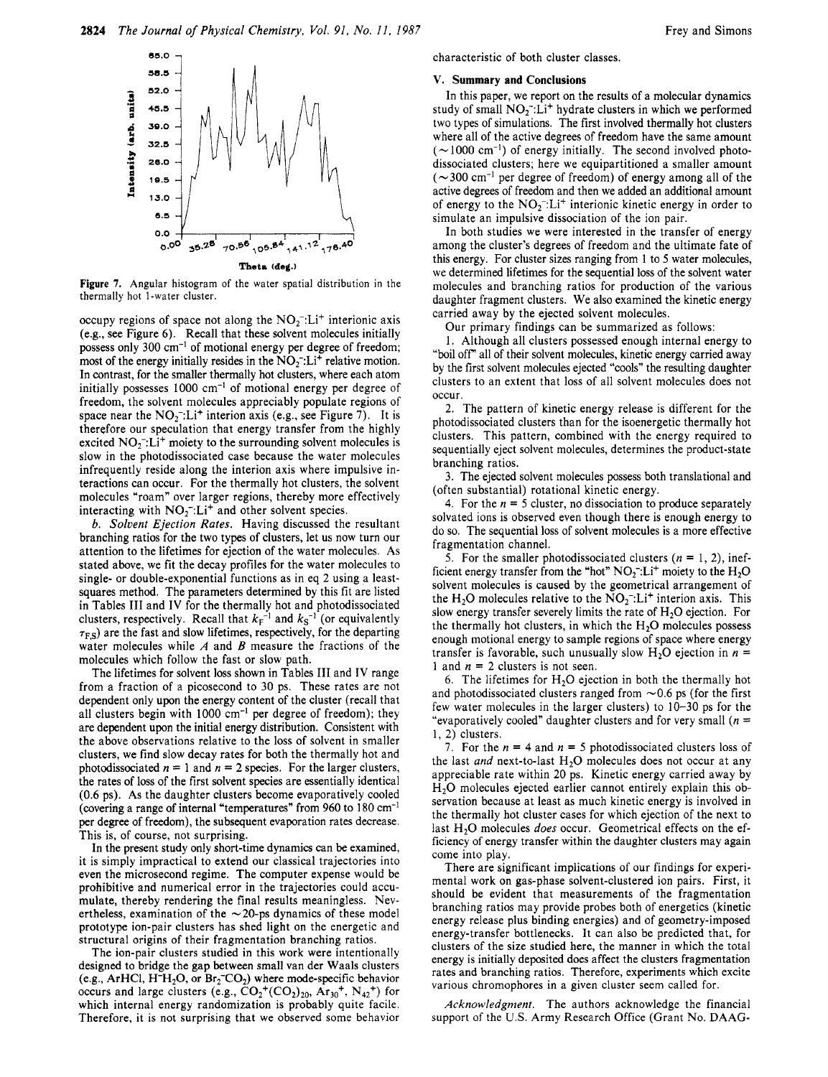



occupy regions of space not along the  $NO<sub>2</sub><sup>-</sup>: Li<sup>+</sup>$  interionic axis (e.g., see Figure *6).* Recall that these solvent molecules initially possess only 300 cm-' of motional energy per degree of freedom; most of the energy initially resides in the  $NO<sub>2</sub><sup>-</sup>:Li<sup>+</sup>$  relative motion. In contrast, for the smaller thermally hot clusters, where each atom initially possesses  $1000 \text{ cm}^{-1}$  of motional energy per degree of freedom, the solvent molecules appreciably populate regions of space near the  $NO<sub>2</sub>$ <sup>-</sup>:Li<sup>+</sup> interion axis (e.g., see Figure 7). It is therefore our speculation that energy transfer from the highly excited  $NO<sub>2</sub>$ . Li<sup>+</sup> moiety to the surrounding solvent molecules is slow in the photodissociated case because the water molecules infrequently reside along the interion axis where impulsive interactions can occur. For the thermally hot clusters, the solvent molecules "roam" over larger regions, thereby more effectively interacting with  $NO<sub>2</sub><sup>-</sup>: Li<sup>+</sup>$  and other solvent species.

*b. Solvent Ejection Rates.* Having discussed the resultant branching ratios for the two types of clusters, let us now turn our attention to the lifetimes for ejection of the water molecules. As stated above, we fit the decay profiles for the water molecules to single- or double-exponential functions as in eq 2 using a leastsquares method. The parameters determined by this fit are listed in Tables I11 and IV for the thermally hot and photodissociated clusters, respectively. Recall that  $k_F^{-1}$  and  $k_S^{-1}$  (or equivalently  $\tau_{FS}$ ) are the fast and slow lifetimes, respectively, for the departing water molecules while *A* and *B* measure the fractions of the molecules which follow the fast or slow path.

The lifetimes for solvent **loss** shown in Tables I11 and IV range from a fraction of a picosecond to 30 ps. These rates are not dependent only upon the energy content of the cluster (recall that all clusters begin with 1000 cm<sup>-1</sup> per degree of freedom); they are dependent upon the initial energy distribution. Consistent with the above observations relative to the loss of solvent in smaller clusters, we find slow decay rates for both the thermally hot and photodissociated  $n = 1$  and  $n = 2$  species. For the larger clusters, the rates of loss of the first solvent species are essentially identical *(0.6* ps). As the daughter clusters become evaporatively cooled (covering a range of internal "temperatures" from 960 to 180 cm-' per degree of freedom), the subsequent evaporation rates decrease. This is, of course, not surprising.

In the present study only short-time dynamics can be examined, it is simply impractical to extend our classical trajectories into even the microsecond regime. The computer expense would be prohibitive and numerical error in the trajectories could accumulate, thereby rendering the final results meaningless. Nevertheless, examination of the  $\sim$  20-ps dynamics of these model prototype ion-pair clusters has shed light on the energetic and structural origins of their fragmentation branching ratios.

The ion-pair clusters studied in this work were intentionally designed to bridge the gap between small van der Waals clusters (e.g., ArHCl, H<sup>-</sup>H<sub>2</sub>O, or Br<sub>2</sub><sup>-</sup>CO<sub>2</sub>) where mode-specific behavior occurs and large clusters (e.g.,  $CO_2^+(CO_2)_{20}$ ,  $Ar_{30}^+$ ,  $N_{42}^+$ ) for which internal energy randomization is probably quite facile. Therefore, it is not surprising that we observed some behavior

#### V. **Summary and Conclusions**

In this paper, we report on the results of a molecular dynamics study of small  $NO<sub>2</sub>$ . Li<sup>+</sup> hydrate clusters in which we performed two types of simulations. The first involved thermally hot clusters where all of the active degrees of freedom have the same amount  $(\sim 1000 \text{ cm}^{-1})$  of energy initially. The second involved photodissociated clusters; here we equipartitioned a smaller amount  $(\sim 300 \text{ cm}^{-1}$  per degree of freedom) of energy among all of the active degrees of freedom and then we added an additional amount of energy to the  $NO<sub>2</sub><sup>-1</sup>: Li<sup>+</sup>$  interionic kinetic energy in order to simulate an impulsive dissociation of the ion pair.

In both studies we were interested in the transfer of energy among the cluster's degrees of freedom and the ultimate fate of this energy. For cluster sizes ranging from 1 to 5 water molecules, we determined lifetimes for the sequential loss of the solvent water molecules and branching ratios for production of the various daughter fragment clusters. We also examined the kinetic energy carried away by the ejected solvent molecules.

Our primary findings can be summarized as follows:

1. Although all clusters possessed enough internal energy to "boil off" all of their solvent molecules, kinetic energy carried away by the first solvent molecules ejected "cools" the resulting daughter clusters to an extent that loss of all solvent molecules does not occur.

2. The pattern of kinetic energy release is different for the photodissociated clusters than for the isoenergetic thermally hot clusters. This pattern, combined with the energy required to sequentially eject solvent molecules, determines the product-state branching ratios.

3. The ejected solvent molecules possess both translational and (often substantial) rotational kinetic energy.

4. For the  $n = 5$  cluster, no dissociation to produce separately solvated ions is observed even though there is enough energy to do so. The sequential **loss** of solvent molecules is a more effective fragmentation channel.

5. For the smaller photodissociated clusters  $(n = 1, 2)$ , inefficient energy transfer from the "hot"  $NO<sub>2</sub>$ ":Li<sup>+</sup> moiety to the  $H<sub>2</sub>O$ solvent molecules is caused by the geometrical arrangement of the H<sub>2</sub>O molecules relative to the  $NO<sub>2</sub><sup>-</sup>:Li<sup>+</sup>$  interion axis. This slow energy transfer severely limits the rate of **H20** ejection. For the thermally hot clusters, in which the  $H_2O$  molecules possess enough motional energy to sample regions of space where energy transfer is favorable, such unusually slow  $H_2O$  ejection in  $n =$ 1 and  $n = 2$  clusters is not seen.

6. The lifetimes for  $H_2O$  ejection in both the thermally hot and photodissociated clusters ranged from  $\sim 0.6$  ps (for the first few water molecules in the larger clusters) to 10-30 ps for the "evaporatively cooled" daughter clusters and for very small *(n* = 1, *2)* clusters.

7. For the  $n = 4$  and  $n = 5$  photodissociated clusters loss of the last *and* next-to-last  $H_2O$  molecules does not occur at any appreciable rate within 20 ps. Kinetic energy carried away by **H20** molecules ejected earlier cannot entirely explain this observation because at least as much kinetic energy is involved in the thermally hot cluster cases for which ejection of the next to last H<sub>2</sub>O molecules *does* occur. Geometrical effects on the efficiency of energy transfer within the daughter clusters may again come into play.

There are significant implications of our findings for experimental work on gas-phase solvent-clustered ion pairs. First, it should be evident that measurements of the fragmentation branching ratios may provide probes both of energetics (kinetic energy release plus binding energies) and of geometry-imposed energy-transfer bottlenecks. It can also be predicted that, for clusters of the size studied here, the manner in which the total energy is initially deposited does affect the clusters fragmentation rates and branching ratios. Therefore, experiments which excite various chromophores in a given cluster seem called for.

*Acknowledgment.* The authors acknowledge the financial support of the **US.** Army Research Office (Grant No. DAAG-